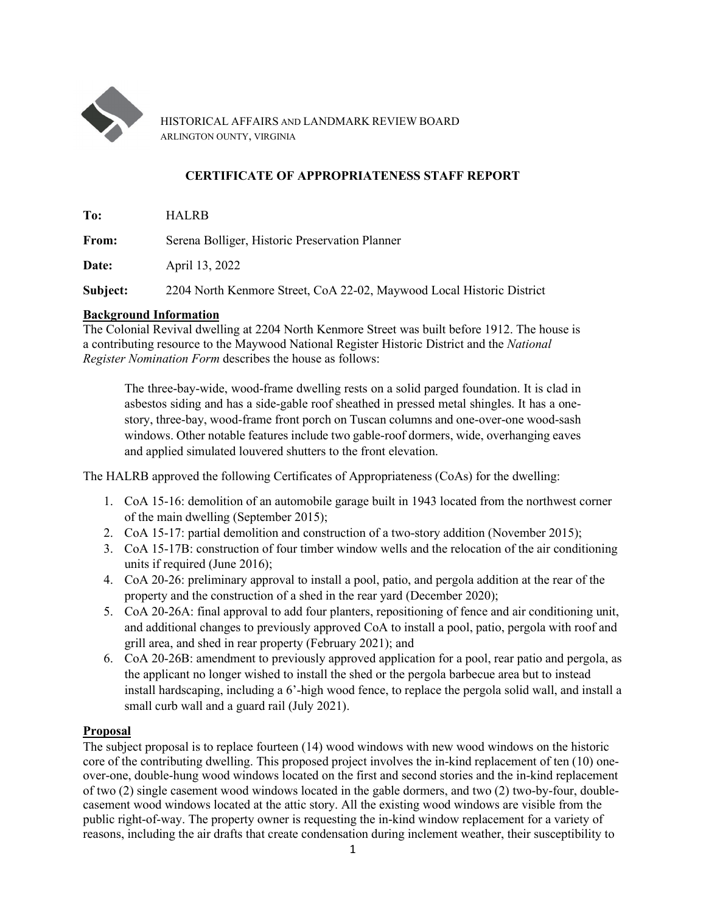

HISTORICAL AFFAIRS AND LANDMARK REVIEW BOARD ARLINGTON OUNTY, VIRGINIA

# **CERTIFICATE OF APPROPRIATENESS STAFF REPORT**

**To:** HALRB

**From:** Serena Bolliger, Historic Preservation Planner

**Date:** April 13, 2022

**Subject:** 2204 North Kenmore Street, CoA 22-02, Maywood Local Historic District

## **Background Information**

The Colonial Revival dwelling at 2204 North Kenmore Street was built before 1912. The house is a contributing resource to the Maywood National Register Historic District and the *National Register Nomination Form* describes the house as follows:

The three-bay-wide, wood-frame dwelling rests on a solid parged foundation. It is clad in asbestos siding and has a side-gable roof sheathed in pressed metal shingles. It has a onestory, three-bay, wood-frame front porch on Tuscan columns and one-over-one wood-sash windows. Other notable features include two gable-roof dormers, wide, overhanging eaves and applied simulated louvered shutters to the front elevation.

The HALRB approved the following Certificates of Appropriateness (CoAs) for the dwelling:

- 1. CoA 15-16: demolition of an automobile garage built in 1943 located from the northwest corner of the main dwelling (September 2015);
- 2. CoA 15-17: partial demolition and construction of a two-story addition (November 2015);
- 3. CoA 15-17B: construction of four timber window wells and the relocation of the air conditioning units if required (June 2016);
- 4. CoA 20-26: preliminary approval to install a pool, patio, and pergola addition at the rear of the property and the construction of a shed in the rear yard (December 2020);
- 5. CoA 20-26A: final approval to add four planters, repositioning of fence and air conditioning unit, and additional changes to previously approved CoA to install a pool, patio, pergola with roof and grill area, and shed in rear property (February 2021); and
- 6. CoA 20-26B: amendment to previously approved application for a pool, rear patio and pergola, as the applicant no longer wished to install the shed or the pergola barbecue area but to instead install hardscaping, including a 6'-high wood fence, to replace the pergola solid wall, and install a small curb wall and a guard rail (July 2021).

## **Proposal**

The subject proposal is to replace fourteen (14) wood windows with new wood windows on the historic core of the contributing dwelling. This proposed project involves the in-kind replacement of ten (10) oneover-one, double-hung wood windows located on the first and second stories and the in-kind replacement of two (2) single casement wood windows located in the gable dormers, and two (2) two-by-four, doublecasement wood windows located at the attic story. All the existing wood windows are visible from the public right-of-way. The property owner is requesting the in-kind window replacement for a variety of reasons, including the air drafts that create condensation during inclement weather, their susceptibility to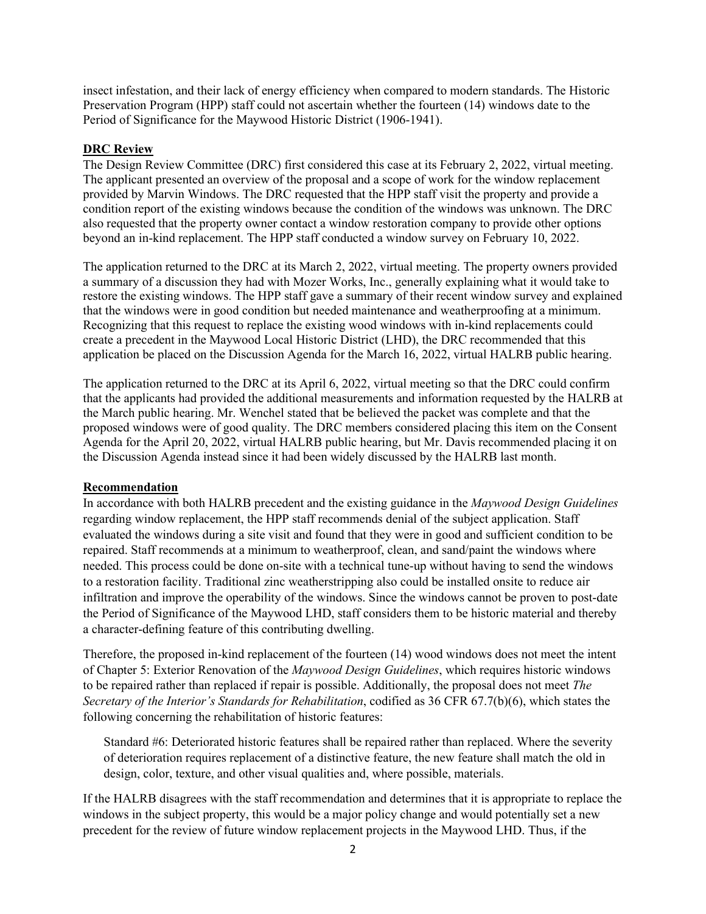insect infestation, and their lack of energy efficiency when compared to modern standards. The Historic Preservation Program (HPP) staff could not ascertain whether the fourteen (14) windows date to the Period of Significance for the Maywood Historic District (1906-1941).

### **DRC Review**

The Design Review Committee (DRC) first considered this case at its February 2, 2022, virtual meeting. The applicant presented an overview of the proposal and a scope of work for the window replacement provided by Marvin Windows. The DRC requested that the HPP staff visit the property and provide a condition report of the existing windows because the condition of the windows was unknown. The DRC also requested that the property owner contact a window restoration company to provide other options beyond an in-kind replacement. The HPP staff conducted a window survey on February 10, 2022.

The application returned to the DRC at its March 2, 2022, virtual meeting. The property owners provided a summary of a discussion they had with Mozer Works, Inc., generally explaining what it would take to restore the existing windows. The HPP staff gave a summary of their recent window survey and explained that the windows were in good condition but needed maintenance and weatherproofing at a minimum. Recognizing that this request to replace the existing wood windows with in-kind replacements could create a precedent in the Maywood Local Historic District (LHD), the DRC recommended that this application be placed on the Discussion Agenda for the March 16, 2022, virtual HALRB public hearing.

The application returned to the DRC at its April 6, 2022, virtual meeting so that the DRC could confirm that the applicants had provided the additional measurements and information requested by the HALRB at the March public hearing. Mr. Wenchel stated that be believed the packet was complete and that the proposed windows were of good quality. The DRC members considered placing this item on the Consent Agenda for the April 20, 2022, virtual HALRB public hearing, but Mr. Davis recommended placing it on the Discussion Agenda instead since it had been widely discussed by the HALRB last month.

#### **Recommendation**

In accordance with both HALRB precedent and the existing guidance in the *Maywood Design Guidelines* regarding window replacement, the HPP staff recommends denial of the subject application. Staff evaluated the windows during a site visit and found that they were in good and sufficient condition to be repaired. Staff recommends at a minimum to weatherproof, clean, and sand/paint the windows where needed. This process could be done on-site with a technical tune-up without having to send the windows to a restoration facility. Traditional zinc weatherstripping also could be installed onsite to reduce air infiltration and improve the operability of the windows. Since the windows cannot be proven to post-date the Period of Significance of the Maywood LHD, staff considers them to be historic material and thereby a character-defining feature of this contributing dwelling.

Therefore, the proposed in-kind replacement of the fourteen (14) wood windows does not meet the intent of Chapter 5: Exterior Renovation of the *Maywood Design Guidelines*, which requires historic windows to be repaired rather than replaced if repair is possible. Additionally, the proposal does not meet *The Secretary of the Interior's Standards for Rehabilitation*, codified as 36 CFR 67.7(b)(6), which states the following concerning the rehabilitation of historic features:

Standard #6: Deteriorated historic features shall be repaired rather than replaced. Where the severity of deterioration requires replacement of a distinctive feature, the new feature shall match the old in design, color, texture, and other visual qualities and, where possible, materials.

If the HALRB disagrees with the staff recommendation and determines that it is appropriate to replace the windows in the subject property, this would be a major policy change and would potentially set a new precedent for the review of future window replacement projects in the Maywood LHD. Thus, if the